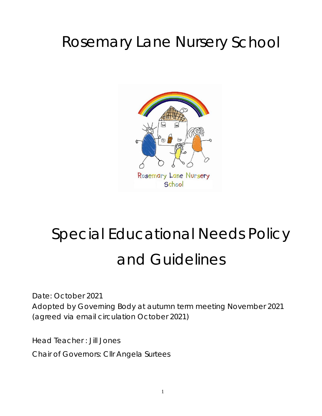# Rosemary Lane Nursery School



# Special Educational Needs Policy and Guidelines

Date: October 2021 Adopted by Governing Body at autumn term meeting November 2021 (agreed via email circulation October 2021)

Head Teacher : Jill Jones

Chair of Governors: Cllr Angela Surtees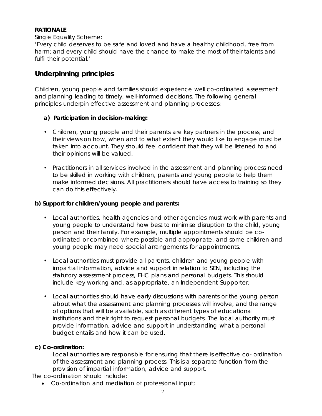#### **RATIONALE**

#### Single Equality Scheme:

'Every child deserves to be safe and loved and have a healthy childhood, free from harm; and every child should have the chance to make the most of their talents and fulfil their potential.'

### **Underpinning principles**

Children, young people and families should experience well co-ordinated assessment and planning leading to timely, well-informed decisions. The following general principles underpin effective assessment and planning processes:

#### **a) Participation in decision-making:**

- Children, young people and their parents are key partners in the process, and their views on how, when and to what extent they would like to engage must be taken into account. They should feel confident that they will be listened to and their opinions will be valued.
- Practitioners in all services involved in the assessment and planning process need to be skilled in working with children, parents and young people to help them make informed decisions. All practitioners should have access to training so they can do this effectively.

#### **b) Support for children/young people and parents:**

- Local authorities, health agencies and other agencies must work with parents and young people to understand how best to minimise disruption to the child, young person and their family. For example, multiple appointments should be coordinated or combined where possible and appropriate, and some children and young people may need special arrangements for appointments.
- Local authorities must provide all parents, children and young people with impartial information, advice and support in relation to SEN, including the statutory assessment process, EHC plans and personal budgets. This should include key working and, as appropriate, an Independent Supporter.
- Local authorities should have early discussions with parents or the young person about what the assessment and planning processes will involve, and the range of options that will be available, such as different types of educational institutions and their right to request personal budgets. The local authority must provide information, advice and support in understanding what a personal budget entails and how it can be used.

#### **c) Co-ordination:**

Local authorities are responsible for ensuring that there is effective co- ordination of the assessment and planning process. This is a separate function from the provision of impartial information, advice and support.

The co-ordination should include:

• Co-ordination and mediation of professional input;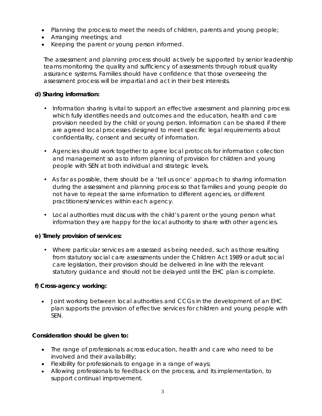- Planning the process to meet the needs of children, parents and young people;
- Arranging meetings; and
- Keeping the parent or young person informed.

The assessment and planning process should actively be supported by senior leadership teams monitoring the quality and sufficiency of assessments through robust quality assurance systems. Families should have confidence that those overseeing the assessment process will be impartial and act in their best interests.

#### **d) Sharing information:**

- Information sharing is vital to support an effective assessment and planning process which fully identifies needs and outcomes and the education, health and care provision needed by the child or young person. Information can be shared if there are agreed local processes designed to meet specific legal requirements about confidentiality, consent and security of information.
- Agencies should work together to agree local protocols for information collection and management so as to inform planning of provision for children and young people with SEN at both individual and strategic levels.
- As far as possible, there should be a 'tell us once' approach to sharing information during the assessment and planning process so that families and young people do not have to repeat the same information to different agencies, or different practitioners/services within each agency.
- Local authorities must discuss with the child's parent or the young person what information they are happy for the local authority to share with other agencies.

#### **e) Timely provision of services:**

• Where particular services are assessed as being needed, such as those resulting from statutory social care assessments under the Children Act 1989 or adult social care legislation, their provision should be delivered in line with the relevant statutory guidance and should not be delayed until the EHC plan is complete.

#### **f) Cross-agency working:**

• Joint working between local authorities and CCGs in the development of an EHC plan supports the provision of effective services for children and young people with SEN.

#### **Consideration should be given to:**

- The range of professionals across education, health and care who need to be involved and their availability;
- Flexibility for professionals to engage in a range of ways;
- Allowing professionals to feedback on the process, and its implementation, to support continual improvement.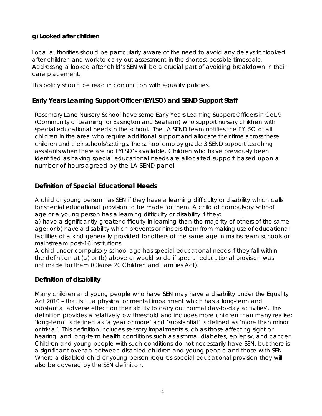#### **g) Looked after children**

Local authorities should be particularly aware of the need to avoid any delays for looked after children and work to carry out assessment in the shortest possible timescale. Addressing a looked after child's SEN will be a crucial part of avoiding breakdown in their care placement.

This policy should be read in conjunction with equality policies.

#### **Early Years Learning Support Officer (EYLSO) and SEND Support Staff**

Rosemary Lane Nursery School have some Early Years Learning Support Officers in CoL 9 (Community of Learning for Easington and Seaham) who support nursery children with special educational needs in the school. The LA SEND team notifies the EYLSO of all children in the area who require additional support and allocate their time across these children and their schools/settings. The school employ grade 3 SEND support teaching assistants when there are no EYLSO's available. Children who have previously been identified as having special educational needs are allocated support based upon a number of hours agreed by the LA SEND panel.

#### **Definition of Special Educational Needs**

A child or young person has SEN if they have a learning difficulty or disability which calls for special educational provision to be made for them. A child of compulsory school age or a young person has a learning difficulty or disability if they:

a) have a significantly greater difficulty in learning than the majority of others of the same age; or b) have a disability which prevents or hinders them from making use of educational facilities of a kind generally provided for others of the same age in mainstream schools or mainstream post-16 institutions.

A child under compulsory school age has special educational needs if they fall within the definition at (a) or (b) above or would so do if special educational provision was not made for them (Clause 20 Children and Families Act).

#### **Definition of disability**

Many children and young people who have SEN may have a disability under the Equality Act 2010 – that is '…a physical or mental impairment which has a long-term and substantial adverse effect on their ability to carry out normal day-to-day activities'. This definition provides a relatively low threshold and includes more children than many realise: 'long-term' is defined as 'a year or more' and 'substantial' is defined as 'more than minor or trivial'. This definition includes sensory impairments such as those affecting sight or hearing, and long-term health conditions such as asthma, diabetes, epilepsy, and cancer. Children and young people with such conditions do not necessarily have SEN, but there is a significant overlap between disabled children and young people and those with SEN. Where a disabled child or young person requires special educational provision they will also be covered by the SEN definition.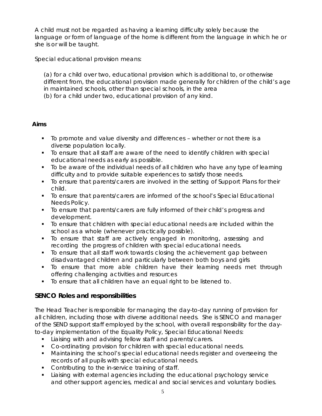A child must not be regarded as having a learning difficulty solely because the language or form of language of the home is different from the language in which he or she is or will be taught.

Special educational provision means:

(a) for a child over two, educational provision which is additional to, or otherwise different from, the educational provision made generally for children of the child's age in maintained schools, other than special schools, in the area (b) for a child under two, educational provision of any kind.

#### **Aims**

- To promote and value diversity and differences whether or not there is a diverse population locally.
- To ensure that all staff are aware of the need to identify children with special educational needs as early as possible.
- To be aware of the individual needs of all children who have any type of learning difficulty and to provide suitable experiences to satisfy those needs.
- To ensure that parents/carers are involved in the setting of Support Plans for their child.
- To ensure that parents/carers are informed of the school's Special Educational Needs Policy.
- To ensure that parents/carers are fully informed of their child's progress and development.
- To ensure that children with special educational needs are included within the school as a whole (whenever practically possible).
- To ensure that staff are actively engaged in monitoring, assessing and recording the progress of children with special educational needs.
- To ensure that all staff work towards closing the achievement gap between disadvantaged children and particularly between both boys and girls
- To ensure that more able children have their learning needs met through offering challenging activities and resources
- To ensure that all children have an equal right to be listened to.

#### **SENCO Roles and responsibilities**

The Head Teacher is responsible for managing the day-to-day running of provision for all children, including those with diverse additional needs. She is SENCO and manager of the SEND support staff employed by the school, with overall responsibility for the dayto-day implementation of the Equality Policy, Special Educational Needs:

- **Liaising with and advising fellow staff and parents/carers.**
- Co-ordinating provision for children with special educational needs.
- Maintaining the school's special educational needs register and overseeing the records of all pupils with special educational needs.
- **Contributing to the in-service training of staff.**
- Liaising with external agencies including the educational psychology service and other support agencies, medical and social services and voluntary bodies.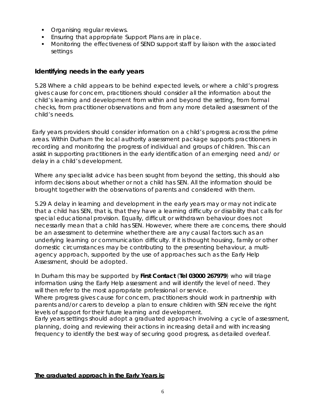- **Organising regular reviews.**
- **Ensuring that appropriate Support Plans are in place.**
- Monitoring the effectiveness of SEND support staff by liaison with the associated settings

#### **Identifying needs in the early years**

*5.28 Where a child appears to be behind expected levels, or where a child's progress gives cause for concern, practitioners should consider all the information about the child's learning and development from within and beyond the setting, from formal checks, from practitioner observations and from any more detailed assessment of the child's needs.*

Early years providers should consider information on a child's progress across the prime areas. Within Durham the local authority assessment package supports practitioners in recording and monitoring the progress of individual and groups of children. This can assist in supporting practitioners in the early identification of an emerging need and/ or delay in a child's development.

Where any specialist advice has been sought from beyond the setting, this should also inform decisions about whether or not a child has SEN. All the information should be brought together with the observations of parents and considered with them.

*5.29 A delay in learning and development in the early years may or may not indicate that a child has SEN, that is, that they have a learning difficulty or disability that calls for special educational provision. Equally, difficult or withdrawn behaviour does not necessarily mean that a child has SEN. However, where there are concerns, there should be an assessment to determine whether there are any causal factors such as an underlying learning or communication difficulty. If it is thought housing, family or other domestic circumstances may be contributing to the presenting behaviour, a multiagency approach, supported by the use of approaches such as the Early Help Assessment, should be adopted.*

In Durham this may be supported by **First Contact** (**Tel 03000 267979**) who will triage information using the Early Help assessment and will identify the level of need. They will then refer to the most appropriate professional or service.

Where progress gives cause for concern, practitioners should work in partnership with parents and/or carers to develop a plan to ensure children with SEN receive the right levels of support for their future learning and development.

Early years settings should adopt a graduated approach involving a cycle of assessment, planning, doing and reviewing their actions in increasing detail and with increasing frequency to identify the best way of securing good progress, as detailed overleaf.

#### **The graduated approach in the Early Years is:**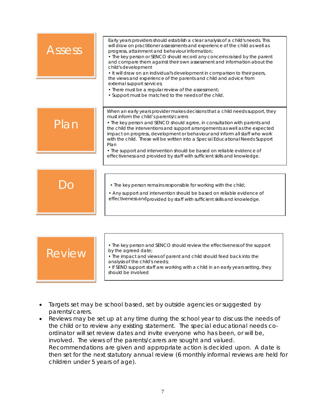| Assess        | Early years providers should establish a clear analysis of a child's needs. This<br>will draw on practitioner assessments and experience of the child as well as<br>progress, attainment and behaviour information;<br>• The key person or SENCO should record any concerns raised by the parent<br>and compare them against their own assessment and information about the<br>child's development<br>• It will draw on an individual's development in comparison to their peers,<br>the views and experience of the parents and child and advice from<br>external support services;<br>• There must be a regular review of the assessment;<br>• Support must be matched to the needs of the child. |
|---------------|-----------------------------------------------------------------------------------------------------------------------------------------------------------------------------------------------------------------------------------------------------------------------------------------------------------------------------------------------------------------------------------------------------------------------------------------------------------------------------------------------------------------------------------------------------------------------------------------------------------------------------------------------------------------------------------------------------|
| Plan          | When an early years provider makes decisions that a child needs support, they<br>must inform the child's parents/carers<br>• The key person and SENCO should agree, in consultation with parents and<br>the child the interventions and support arrangements as well as the expected<br>impact on progress, development or behaviour and inform all staff who work<br>with the child. These will be written into a Special Educational Needs Support<br>Plan<br>• The support and intervention should be based on reliable evidence of<br>effectiveness and provided by staff with sufficient skills and knowledge.                                                                                 |
|               | . The key person remains responsible for working with the child;<br>• Any support and intervention should be based on reliable evidence of<br>effectiveness and provided by staff with sufficient skills and knowledge.                                                                                                                                                                                                                                                                                                                                                                                                                                                                             |
|               |                                                                                                                                                                                                                                                                                                                                                                                                                                                                                                                                                                                                                                                                                                     |
| <b>Review</b> | • The key person and SENCO should review the effectiveness of the support<br>by the agreed date;<br>• The impact and views of parent and child should feed back into the<br>analysis of the child's needs;<br>. If SEND support staff are working with a child in an early years setting, they<br>should be involved                                                                                                                                                                                                                                                                                                                                                                                |

- Targets set may be school based, set by outside agencies or suggested by parents/carers.
- Reviews may be set up at any time during the school year to discuss the needs of the child or to review any existing statement. The special educational needs coordinator will set review dates and invite everyone who has been, or will be, involved. The views of the parents/carers are sought and valued. Recommendations are given and appropriate action is decided upon. A date is then set for the next statutory annual review (6 monthly informal reviews are held for children under 5 years of age).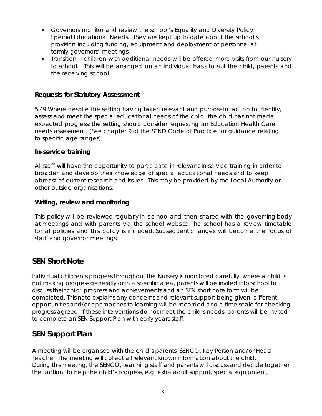- Governors monitor and review the school's Equality and Diversity Policy: Special Educational Needs. They are kept up to date about the school's provision including funding, equipment and deployment of personnel at termly governors' meetings.
- Transition children with additional needs will be offered more visits from our nursery to school. This will be arranged on an individual basis to suit the child, parents and the receiving school.

#### **Requests for Statutory Assessment**

*5.49 Where despite the setting having taken relevant and purposeful action to identify, assess and meet the special educational needs of the child, the child has not made expected progress; the setting should consider requesting an Education Health Care needs assessment. (See chapter 9 of the SEND Code of Practice for guidance relating to specific age ranges)*

#### **In-service training**

All staff will have the opportunity to participate in relevant in-service training in order to broaden and develop their knowledge of special educational needs and to keep abreast of current research and issues. This may be provided by the Local Authority or other outside organisations.

#### **Writing, review and monitoring**

This policy will be reviewed regularly in s c hool and then shared with the governing body at meetings and with parents via the school website. The school has a review timetable for all policies and this policy is included. Subsequent changes will become the focus of staff and governor meetings.

#### **SEN Short Note**

Individual children's progress throughout the Nursery is monitored carefully, where a child is not making progress generally or in a specific area, parents will be invited into school to discuss their child' progress and achievements and an SEN short note form will be completed. This note explains any concerns and relevant support being given, different opportunities and/or approaches to learning will be recorded and a time scale for checking progress agreed. If these interventions do not meet the child's needs, parents will be invited to complete an SEN Support Plan with early years staff.

## **SEN Support Plan**

A meeting will be organised with the child's parents, SENCO, Key Person and/or Head Teacher. The meeting will collect all relevant known information about the child. During this meeting, the SENCO, teaching staff and parents will discuss and decide together the 'action' to help the child's progress, e.g. extra adult support, special equipment,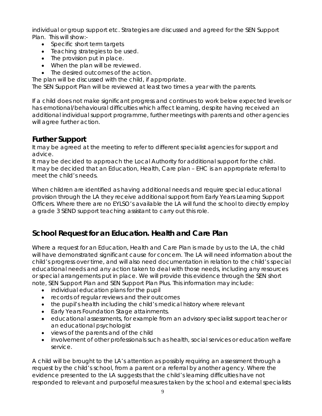individual or group support etc. Strategies are discussed and agreed for the SEN Support Plan. This will show:-

- Specific short term targets
- Teaching strategies to be used.
- The provision put in place.
- When the plan will be reviewed.
- The desired outcomes of the action.

The plan will be discussed with the child, if appropriate.

The SEN Support Plan will be reviewed at least two times a year with the parents.

If a child does not make significant progress and continues to work below expected levels or has emotional/behavioural difficulties which affect learning, despite having received an additional individual support programme, further meetings with parents and other agencies will agree further action.

# **Further Support**

It may be agreed at the meeting to refer to different specialist agencies for support and advice.

It may be decided to approach the Local Authority for additional support for the child. It may be decided that an Education, Health, Care plan – EHC is an appropriate referral to meet the child's needs.

When children are identified as having additional needs and require special educational provision through the LA they receive additional support from Early Years Learning Support Officers. Where there are no EYLSO's available the LA will fund the school to directly employ a grade 3 SEND support teaching assistant to carry out this role.

# **School Request for an Education. Health and Care Plan**

Where a request for an Education, Health and Care Plan is made by us to the LA, the child will have demonstrated significant cause for concern. The LA will need information about the child's progress over time, and will also need documentation in relation to the child's special educational needs and any action taken to deal with those needs, including any resources or special arrangements put in place. We will provide this evidence through the SEN short note, SEN Support Plan and SEN Support Plan Plus*.* This information may include:

- individual education plans for the pupil
- records of regular reviews and their outcomes
- the pupil's health including the child's medical history where relevant
- Early Years Foundation Stage attainments.
- educational assessments, for example from an advisory specialist support teacher or an educational psychologist
- views of the parents and of the child
- involvement of other professionals such as health, social services or education welfare service.

A child will be brought to the LA's attention as possibly requiring an assessment through a request by the child's school, from a parent or a referral by another agency. Where the evidence presented to the LA suggests that the child's learning difficulties have not responded to relevant and purposeful measures taken by the school and external specialists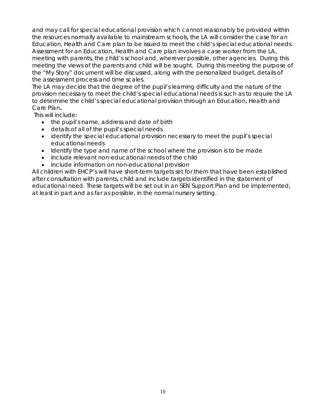and may call for special educational provision which cannot reasonably be provided within the resources normally available to mainstream schools, the LA will consider the case for an Education, Health and Care plan to be issued to meet the child's special educational needs. Assessment for an Education, Health and Care plan involves a case worker from the LA, meeting with parents, the child's school and, wherever possible, other agencies. During this meeting the views of the parents and child will be sought. During this meeting the purpose of the "My Story" document will be discussed, along with the personalized budget, details of the assessment process and time scales.

The LA may decide that the degree of the pupil's learning difficulty and the nature of the provision necessary to meet the child's special educational needs is such as to require the LA to determine the child's special educational provision through an Education, Health and Care Plan**.**

This will include:

- the pupil's name, address and date of birth
- details of all of the pupil's special needs
- identify the special educational provision necessary to meet the pupil's special educational needs
- Identify the type and name of the school where the provision is to be made
- Include relevant non-educational needs of the child
- Include information on non-educational provision

All children with EHCP's will have short-term targets set for them that have been established after consultation with parents, child and include targets identified in the statement of educational need. These targets will be set out in an SEN Support Plan and be implemented, at least in part and as far as possible, in the normal nursery setting.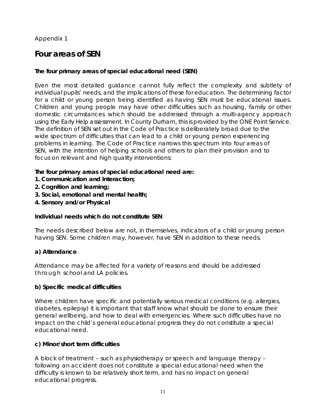#### Appendix 1

# **Four areas of SEN**

#### **The four primary areas of special educational need (SEN)**

Even the most detailed guidance cannot fully reflect the complexity and subtlety of individual pupils' needs, and the implications of these for education. The determining factor for a child or young person being identified as having SEN must be educational issues. Children and young people may have other difficulties such as housing, family or other domestic circumstances which should be addressed through a multi-agency approach using the Early Help assessment. In County Durham, this is provided by the ONE Point Service. The definition of SEN set out in the Code of Practice is deliberately broad due to the wide spectrum of difficulties that can lead to a child or young person experiencing problems in learning. The Code of Practice narrows this spectrum into four areas of SEN, with the intention of helping schools and others to plan their provision and to focus on relevant and high quality interventions:

#### **The four primary areas of special educational need are:**

- **1. Communication and Interaction;**
- **2. Cognition and learning;**
- **3. Social, emotional and mental health;**
- **4. Sensory and/or Physical**

#### **Individual needs which do not constitute SEN**

The needs described below are not, in themselves, indicators of a child or young person having SEN. Some children may, however, have SEN in addition to these needs.

#### **a) Attendance**

Attendance may be affected for a variety of reasons and should be addressed through school and LA policies.

#### **b) Specific medical difficulties**

Where children have specific and potentially serious medical conditions (e.g. allergies, diabetes, epilepsy) it is important that staff know what should be done to ensure their general wellbeing, and how to deal with emergencies. Where such difficulties have no impact on the child's general educational progress they do not constitute a special educational need.

#### **c) Minor/short term difficulties**

A block of treatment – such as physiotherapy or speech and language therapy – following an accident does not constitute a special educational need when the difficulty is known to be relatively short term, and has no impact on general educational progress.